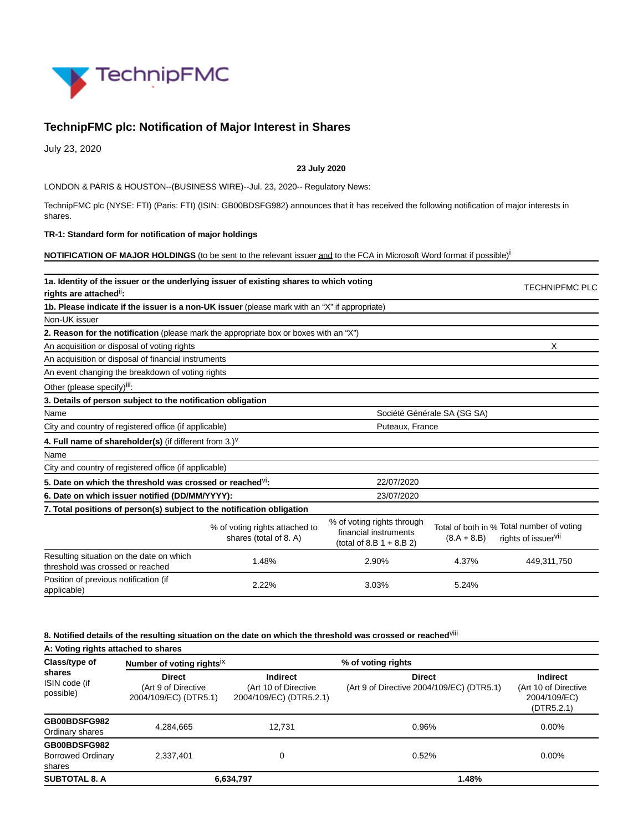

# **TechnipFMC plc: Notification of Major Interest in Shares**

July 23, 2020

#### **23 July 2020**

LONDON & PARIS & HOUSTON--(BUSINESS WIRE)--Jul. 23, 2020-- Regulatory News:

TechnipFMC plc (NYSE: FTI) (Paris: FTI) (ISIN: GB00BDSFG982) announces that it has received the following notification of major interests in shares.

#### **TR-1: Standard form for notification of major holdings**

**NOTIFICATION OF MAJOR HOLDINGS** (to be sent to the relevant issuer and to the FCA in Microsoft Word format if possible)<sup>i</sup>

| 1a. Identity of the issuer or the underlying issuer of existing shares to which voting<br>rights are attached <sup>ii</sup> : |                                                          |                                                                                    |               |                                                                              |  |  |
|-------------------------------------------------------------------------------------------------------------------------------|----------------------------------------------------------|------------------------------------------------------------------------------------|---------------|------------------------------------------------------------------------------|--|--|
| 1b. Please indicate if the issuer is a non-UK issuer (please mark with an "X" if appropriate)                                 |                                                          |                                                                                    |               |                                                                              |  |  |
| Non-UK issuer                                                                                                                 |                                                          |                                                                                    |               |                                                                              |  |  |
| 2. Reason for the notification (please mark the appropriate box or boxes with an "X")                                         |                                                          |                                                                                    |               |                                                                              |  |  |
| An acquisition or disposal of voting rights                                                                                   | X                                                        |                                                                                    |               |                                                                              |  |  |
| An acquisition or disposal of financial instruments                                                                           |                                                          |                                                                                    |               |                                                                              |  |  |
| An event changing the breakdown of voting rights                                                                              |                                                          |                                                                                    |               |                                                                              |  |  |
| Other (please specify) <sup>iii</sup> :                                                                                       |                                                          |                                                                                    |               |                                                                              |  |  |
| 3. Details of person subject to the notification obligation                                                                   |                                                          |                                                                                    |               |                                                                              |  |  |
| Name                                                                                                                          | Société Générale SA (SG SA)                              |                                                                                    |               |                                                                              |  |  |
| City and country of registered office (if applicable)                                                                         |                                                          | Puteaux, France                                                                    |               |                                                                              |  |  |
| 4. Full name of shareholder(s) (if different from $3.$ ) <sup>V</sup>                                                         |                                                          |                                                                                    |               |                                                                              |  |  |
| Name                                                                                                                          |                                                          |                                                                                    |               |                                                                              |  |  |
| City and country of registered office (if applicable)                                                                         |                                                          |                                                                                    |               |                                                                              |  |  |
| 5. Date on which the threshold was crossed or reached $V_1$ :                                                                 |                                                          |                                                                                    |               |                                                                              |  |  |
| 6. Date on which issuer notified (DD/MM/YYYY):                                                                                | 23/07/2020                                               |                                                                                    |               |                                                                              |  |  |
| 7. Total positions of person(s) subject to the notification obligation                                                        |                                                          |                                                                                    |               |                                                                              |  |  |
|                                                                                                                               | % of voting rights attached to<br>shares (total of 8. A) | % of voting rights through<br>financial instruments<br>(total of 8.B $1 + 8.B 2$ ) | $(8.A + 8.B)$ | Total of both in % Total number of voting<br>rights of issuer <sup>vii</sup> |  |  |
| Resulting situation on the date on which<br>threshold was crossed or reached                                                  | 1.48%                                                    | 2.90%                                                                              | 4.37%         | 449,311,750                                                                  |  |  |
| Position of previous notification (if<br>applicable)                                                                          | 2.22%                                                    | 3.03%                                                                              | 5.24%         |                                                                              |  |  |

## **8. Notified details of the resulting situation on the date on which the threshold was crossed or reached**viii

**A: Voting rights attached to shares Class/type of shares** ISIN code (if possible) **Number of voting rights**ix **% of voting rights Direct** (Art 9 of Directive 2004/109/EC) (DTR5.1) **Indirect** (Art 10 of Directive 2004/109/EC) (DTR5.2.1) **Direct** (Art 9 of Directive 2004/109/EC) (DTR5.1) **Indirect** (Art 10 of Directive 2004/109/EC) (DTR5.2.1) **GB00BDSFG982** Ordinary shares 4,284,665 12,731 0.96% 0.00% **GB00BDSFG982** Borrowed Ordinary shares 2,337,401 0 0.52% 0.00% **SUBTOTAL 8. A 6,634,797 1.48%**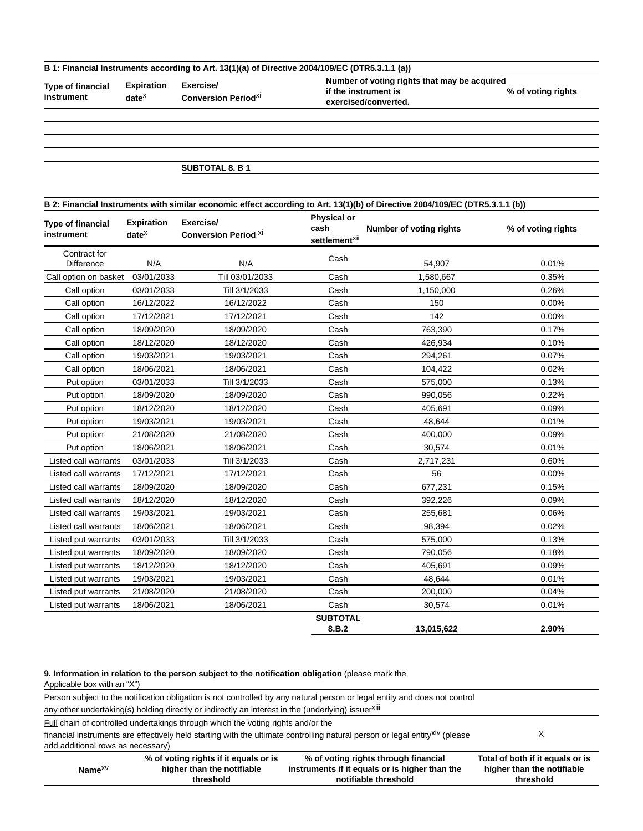### **B 1: Financial Instruments according to Art. 13(1)(a) of Directive 2004/109/EC (DTR5.3.1.1 (a))**

**Type of financial instrument**

**date**x

**Expiration Exercise/ Conversion Period**xi **Number of voting rights that may be acquired if the instrument is exercised/converted.**

**% of voting rights**

## **SUBTOTAL 8. B 1**

| B 2: Financial Instruments with similar economic effect according to Art. 13(1)(b) of Directive 2004/109/EC (DTR5.3.1.1 (b)) |                                    |                                          |                                                         |                         |                    |  |
|------------------------------------------------------------------------------------------------------------------------------|------------------------------------|------------------------------------------|---------------------------------------------------------|-------------------------|--------------------|--|
| <b>Type of financial</b><br>instrument                                                                                       | <b>Expiration</b><br>$date^{\chi}$ | Exercise/<br><b>Conversion Period XI</b> | <b>Physical or</b><br>cash<br>settlement <sup>xii</sup> | Number of voting rights | % of voting rights |  |
| Contract for<br>Difference                                                                                                   | N/A                                | N/A                                      | Cash                                                    | 54,907                  | 0.01%              |  |
| Call option on basket                                                                                                        | 03/01/2033                         | Till 03/01/2033                          | Cash                                                    | 1,580,667               | 0.35%              |  |
| Call option                                                                                                                  | 03/01/2033                         | Till 3/1/2033                            | Cash                                                    | 1,150,000               | 0.26%              |  |
| Call option                                                                                                                  | 16/12/2022                         | 16/12/2022                               | Cash                                                    | 150                     | 0.00%              |  |
| Call option                                                                                                                  | 17/12/2021                         | 17/12/2021                               | Cash                                                    | 142                     | 0.00%              |  |
| Call option                                                                                                                  | 18/09/2020                         | 18/09/2020                               | Cash                                                    | 763,390                 | 0.17%              |  |
| Call option                                                                                                                  | 18/12/2020                         | 18/12/2020                               | Cash                                                    | 426,934                 | 0.10%              |  |
| Call option                                                                                                                  | 19/03/2021                         | 19/03/2021                               | Cash                                                    | 294,261                 | 0.07%              |  |
| Call option                                                                                                                  | 18/06/2021                         | 18/06/2021                               | Cash                                                    | 104,422                 | 0.02%              |  |
| Put option                                                                                                                   | 03/01/2033                         | Till 3/1/2033                            | Cash                                                    | 575,000                 | 0.13%              |  |
| Put option                                                                                                                   | 18/09/2020                         | 18/09/2020                               | Cash                                                    | 990,056                 | 0.22%              |  |
| Put option                                                                                                                   | 18/12/2020                         | 18/12/2020                               | Cash                                                    | 405,691                 | 0.09%              |  |
| Put option                                                                                                                   | 19/03/2021                         | 19/03/2021                               | Cash                                                    | 48,644                  | 0.01%              |  |
| Put option                                                                                                                   | 21/08/2020                         | 21/08/2020                               | Cash                                                    | 400,000                 | 0.09%              |  |
| Put option                                                                                                                   | 18/06/2021                         | 18/06/2021                               | Cash                                                    | 30,574                  | 0.01%              |  |
| Listed call warrants                                                                                                         | 03/01/2033                         | Till 3/1/2033                            | Cash                                                    | 2,717,231               | 0.60%              |  |
| Listed call warrants                                                                                                         | 17/12/2021                         | 17/12/2021                               | Cash                                                    | 56                      | 0.00%              |  |
| Listed call warrants                                                                                                         | 18/09/2020                         | 18/09/2020                               | Cash                                                    | 677,231                 | 0.15%              |  |
| Listed call warrants                                                                                                         | 18/12/2020                         | 18/12/2020                               | Cash                                                    | 392,226                 | 0.09%              |  |
| Listed call warrants                                                                                                         | 19/03/2021                         | 19/03/2021                               | Cash                                                    | 255,681                 | 0.06%              |  |
| Listed call warrants                                                                                                         | 18/06/2021                         | 18/06/2021                               | Cash                                                    | 98,394                  | 0.02%              |  |
| Listed put warrants                                                                                                          | 03/01/2033                         | Till 3/1/2033                            | Cash                                                    | 575,000                 | 0.13%              |  |
| Listed put warrants                                                                                                          | 18/09/2020                         | 18/09/2020                               | Cash                                                    | 790,056                 | 0.18%              |  |
| Listed put warrants                                                                                                          | 18/12/2020                         | 18/12/2020                               | Cash                                                    | 405,691                 | 0.09%              |  |
| Listed put warrants                                                                                                          | 19/03/2021                         | 19/03/2021                               | Cash                                                    | 48,644                  | 0.01%              |  |
| Listed put warrants                                                                                                          | 21/08/2020                         | 21/08/2020                               | Cash                                                    | 200,000                 | 0.04%              |  |
| Listed put warrants                                                                                                          | 18/06/2021                         | 18/06/2021                               | Cash                                                    | 30,574                  | 0.01%              |  |
|                                                                                                                              |                                    |                                          | <b>SUBTOTAL</b><br>8.B.2                                | 13,015,622              | 2.90%              |  |

**9. Information in relation to the person subject to the notification obligation** (please mark the Applicable box with an "X")

Person subject to the notification obligation is not controlled by any natural person or legal entity and does not control any other undertaking(s) holding directly or indirectly an interest in the (underlying) issuerxiii **Full chain of controlled undertakings through which the voting rights and/or the** financial instruments are effectively held starting with the ultimate controlling natural person or legal entity<sup>xiv</sup> (please add additional rows as necessary) X **Name**xv **% of voting rights if it equals or is higher than the notifiable threshold % of voting rights through financial instruments if it equals or is higher than the notifiable threshold Total of both if it equals or is higher than the notifiable threshold**